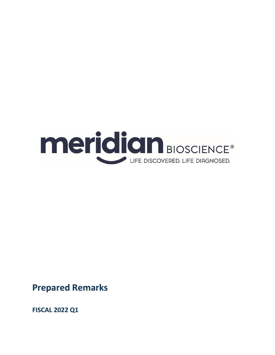

**Prepared Remarks**

**FISCAL 2022 Q1**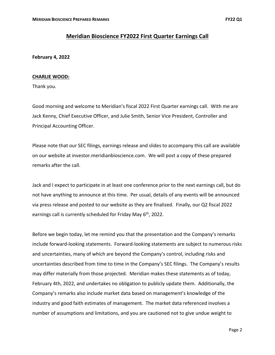# **Meridian Bioscience FY2022 First Quarter Earnings Call**

# **February 4, 2022**

# **CHARLIE WOOD:**

Thank you.

Good morning and welcome to Meridian's fiscal 2022 First Quarter earnings call. With me are Jack Kenny, Chief Executive Officer, and Julie Smith, Senior Vice President, Controller and Principal Accounting Officer.

Please note that our SEC filings, earnings release and slides to accompany this call are available on our website at investor.meridianbioscience.com. We will post a copy of these prepared remarks after the call.

Jack and I expect to participate in at least one conference prior to the next earnings call, but do not have anything to announce at this time. Per usual, details of any events will be announced via press release and posted to our website as they are finalized. Finally, our Q2 fiscal 2022 earnings call is currently scheduled for Friday May 6<sup>th</sup>, 2022.

Before we begin today, let me remind you that the presentation and the Company's remarks include forward‐looking statements. Forward‐looking statements are subject to numerous risks and uncertainties, many of which are beyond the Company's control, including risks and uncertainties described from time to time in the Company's SEC filings. The Company's results may differ materially from those projected. Meridian makes these statements as of today, February 4th, 2022, and undertakes no obligation to publicly update them. Additionally, the Company's remarks also include market data based on management's knowledge of the industry and good faith estimates of management. The market data referenced involves a number of assumptions and limitations, and you are cautioned not to give undue weight to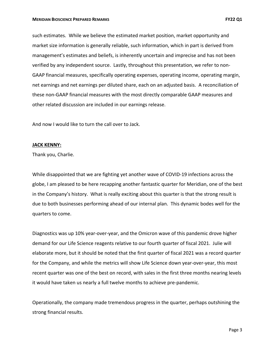such estimates. While we believe the estimated market position, market opportunity and market size information is generally reliable, such information, which in part is derived from management's estimates and beliefs, is inherently uncertain and imprecise and has not been verified by any independent source. Lastly, throughout this presentation, we refer to non‐ GAAP financial measures, specifically operating expenses, operating income, operating margin, net earnings and net earnings per diluted share, each on an adjusted basis. A reconciliation of these non‐GAAP financial measures with the most directly comparable GAAP measures and other related discussion are included in our earnings release.

And now I would like to turn the call over to Jack.

### **JACK KENNY:**

Thank you, Charlie.

While disappointed that we are fighting yet another wave of COVID‐19 infections across the globe, I am pleased to be here recapping another fantastic quarter for Meridian, one of the best in the Company's history. What is really exciting about this quarter is that the strong result is due to both businesses performing ahead of our internal plan. This dynamic bodes well for the quarters to come.

Diagnostics was up 10% year‐over‐year, and the Omicron wave of this pandemic drove higher demand for our Life Science reagents relative to our fourth quarter of fiscal 2021. Julie will elaborate more, but it should be noted that the first quarter of fiscal 2021 was a record quarter for the Company, and while the metrics will show Life Science down year-over-year, this most recent quarter was one of the best on record, with sales in the first three months nearing levels it would have taken us nearly a full twelve months to achieve pre‐pandemic.

Operationally, the company made tremendous progress in the quarter, perhaps outshining the strong financial results.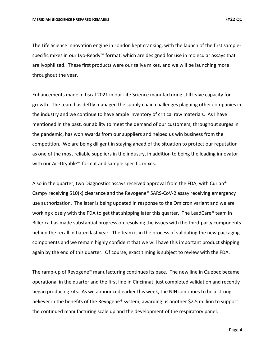The Life Science innovation engine in London kept cranking, with the launch of the first sample‐ specific mixes in our Lyo-Ready™ format, which are designed for use in molecular assays that are lyophilized. These first products were our saliva mixes, and we will be launching more throughout the year.

Enhancements made in fiscal 2021 in our Life Science manufacturing still leave capacity for growth. The team has deftly managed the supply chain challenges plaguing other companies in the industry and we continue to have ample inventory of critical raw materials. As I have mentioned in the past, our ability to meet the demand of our customers, throughout surges in the pandemic, has won awards from our suppliers and helped us win business from the competition. We are being diligent in staying ahead of the situation to protect our reputation as one of the most reliable suppliers in the industry, in addition to being the leading innovator with our Air‐Dryable™ format and sample specific mixes.

Also in the quarter, two Diagnostics assays received approval from the FDA, with Curian® Campy receiving 510(k) clearance and the Revogene® SARS‐CoV‐2 assay receiving emergency use authorization. The later is being updated in response to the Omicron variant and we are working closely with the FDA to get that shipping later this quarter. The LeadCare® team in Billerica has made substantial progress on resolving the issues with the third‐party components behind the recall initiated last year. The team is in the process of validating the new packaging components and we remain highly confident that we will have this important product shipping again by the end of this quarter. Of course, exact timing is subject to review with the FDA.

The ramp-up of Revogene<sup>®</sup> manufacturing continues its pace. The new line in Quebec became operational in the quarter and the first line in Cincinnati just completed validation and recently began producing kits. As we announced earlier this week, the NIH continues to be a strong believer in the benefits of the Revogene® system, awarding us another \$2.5 million to support the continued manufacturing scale up and the development of the respiratory panel.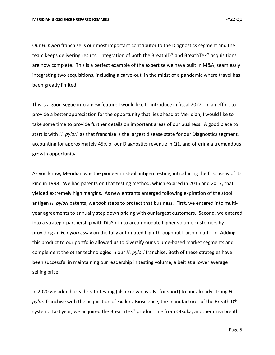Our *H. pylori* franchise is our most important contributor to the Diagnostics segment and the team keeps delivering results. Integration of both the BreathID® and BreathTek® acquisitions are now complete. This is a perfect example of the expertise we have built in M&A, seamlessly integrating two acquisitions, including a carve‐out, in the midst of a pandemic where travel has been greatly limited.

This is a good segue into a new feature I would like to introduce in fiscal 2022. In an effort to provide a better appreciation for the opportunity that lies ahead at Meridian, I would like to take some time to provide further details on important areas of our business. A good place to start is with *H. pylori*, as that franchise is the largest disease state for our Diagnostics segment, accounting for approximately 45% of our Diagnostics revenue in Q1, and offering a tremendous growth opportunity.

As you know, Meridian was the pioneer in stool antigen testing, introducing the first assay of its kind in 1998. We had patents on that testing method, which expired in 2016 and 2017, that yielded extremely high margins. As new entrants emerged following expiration of the stool antigen *H. pylori* patents, we took steps to protect that business. First, we entered into multiyear agreements to annually step down pricing with our largest customers. Second, we entered into a strategic partnership with DiaSorin to accommodate higher volume customers by providing an *H. pylori* assay on the fully automated high‐throughput Liaison platform. Adding this product to our portfolio allowed us to diversify our volume‐based market segments and complement the other technologies in our *H. pylori* franchise. Both of these strategies have been successful in maintaining our leadership in testing volume, albeit at a lower average selling price.

In 2020 we added urea breath testing (also known as UBT for short) to our already strong *H. pylori* franchise with the acquisition of Exalenz Bioscience, the manufacturer of the BreathID® system. Last year, we acquired the BreathTek® product line from Otsuka, another urea breath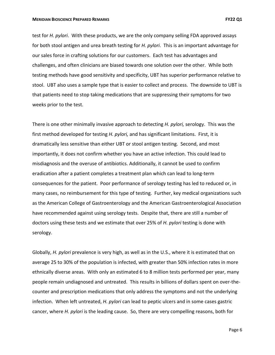test for *H. pylori*. With these products, we are the only company selling FDA approved assays for both stool antigen and urea breath testing for *H. pylori*. This is an important advantage for our sales force in crafting solutions for our customers. Each test has advantages and challenges, and often clinicians are biased towards one solution over the other. While both testing methods have good sensitivity and specificity, UBT has superior performance relative to stool. UBT also uses a sample type that is easier to collect and process. The downside to UBT is that patients need to stop taking medications that are suppressing their symptoms for two weeks prior to the test.

There is one other minimally invasive approach to detecting *H. pylori,* serology. This was the first method developed for testing *H. pylori,* and has significant limitations. First, it is dramatically less sensitive than either UBT or stool antigen testing. Second, and most importantly, it does not confirm whether you have an active infection. This could lead to misdiagnosis and the overuse of antibiotics. Additionally, it cannot be used to confirm eradication after a patient completes a treatment plan which can lead to long‐term consequences for the patient. Poor performance of serology testing has led to reduced or, in many cases, no reimbursement for this type of testing. Further, key medical organizations such as the American College of Gastroenterology and the American Gastroenterological Association have recommended against using serology tests. Despite that, there are still a number of doctors using these tests and we estimate that over 25% of *H. pylori* testing is done with serology.

Globally, *H. pylori* prevalence is very high, as well as in the U.S., where it is estimated that on average 25 to 30% of the population is infected, with greater than 50% infection rates in more ethnically diverse areas. With only an estimated 6 to 8 million tests performed per year, many people remain undiagnosed and untreated. This results in billions of dollars spent on over-thecounter and prescription medications that only address the symptoms and not the underlying infection. When left untreated, *H. pylori* can lead to peptic ulcers and in some cases gastric cancer, where *H. pylori* is the leading cause. So, there are very compelling reasons, both for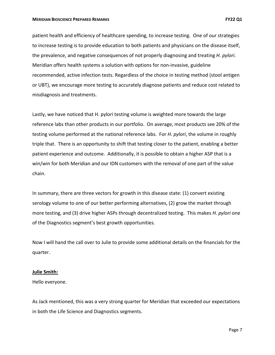#### **MERIDIAN BIOSCIENCE PREPARED REMARKS FY22 Q1**

patient health and efficiency of healthcare spending, to increase testing. One of our strategies to increase testing is to provide education to both patients and physicians on the disease itself, the prevalence, and negative consequences of not properly diagnosing and treating *H. pylori*. Meridian offers health systems a solution with options for non‐invasive, guideline recommended, active infection tests. Regardless of the choice in testing method (stool antigen or UBT), we encourage more testing to accurately diagnose patients and reduce cost related to misdiagnosis and treatments.

Lastly, we have noticed that H. pylori testing volume is weighted more towards the large reference labs than other products in our portfolio. On average, most products see 20% of the testing volume performed at the national reference labs. For *H. pylori*, the volume in roughly triple that. There is an opportunity to shift that testing closer to the patient, enabling a better patient experience and outcome. Additionally, it is possible to obtain a higher ASP that is a win/win for both Meridian and our IDN customers with the removal of one part of the value chain.

In summary, there are three vectors for growth in this disease state: (1) convert existing serology volume to one of our better performing alternatives, (2) grow the market through more testing, and (3) drive higher ASPs through decentralized testing. This makes *H. pylori* one of the Diagnostics segment's best growth opportunities.

Now I will hand the call over to Julie to provide some additional details on the financials for the quarter.

### **Julie Smith:**

Hello everyone.

As Jack mentioned, this was a very strong quarter for Meridian that exceeded our expectations in both the Life Science and Diagnostics segments.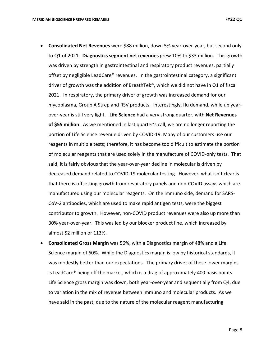- **Consolidated Net Revenues** were \$88 million, down 5% year‐over‐year, but second only to Q1 of 2021. **Diagnostics segment net revenues** grew 10% to \$33 million. This growth was driven by strength in gastrointestinal and respiratory product revenues, partially offset by negligible LeadCare<sup>®</sup> revenues. In the gastrointestinal category, a significant driver of growth was the addition of BreathTek®, which we did not have in Q1 of fiscal 2021. In respiratory, the primary driver of growth was increased demand for our mycoplasma, Group A Strep and RSV products. Interestingly, flu demand, while up year‐ over‐year is still very light. **Life Science** had a very strong quarter, with **Net Revenues of \$55 million**. As we mentioned in last quarter's call, we are no longer reporting the portion of Life Science revenue driven by COVID‐19. Many of our customers use our reagents in multiple tests; therefore, it has become too difficult to estimate the portion of molecular reagents that are used solely in the manufacture of COVID‐only tests. That said, it is fairly obvious that the year‐over‐year decline in molecular is driven by decreased demand related to COVID‐19 molecular testing. However, what isn't clear is that there is offsetting growth from respiratory panels and non‐COVID assays which are manufactured using our molecular reagents. On the immuno side, demand for SARS‐ CoV-2 antibodies, which are used to make rapid antigen tests, were the biggest contributor to growth. However, non‐COVID product revenues were also up more than 30% year‐over‐year. This was led by our blocker product line, which increased by almost \$2 million or 113%.
- **Consolidated Gross Margin** was 56%, with a Diagnostics margin of 48% and a Life Science margin of 60%. While the Diagnostics margin is low by historical standards, it was modestly better than our expectations. The primary driver of these lower margins is LeadCare® being off the market, which is a drag of approximately 400 basis points. Life Science gross margin was down, both year‐over‐year and sequentially from Q4, due to variation in the mix of revenue between immuno and molecular products. As we have said in the past, due to the nature of the molecular reagent manufacturing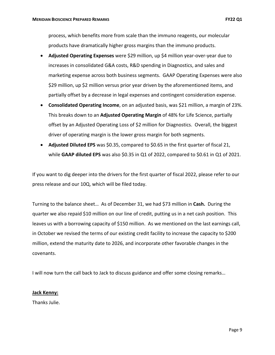process, which benefits more from scale than the immuno reagents, our molecular products have dramatically higher gross margins than the immuno products.

- **Adjusted Operating Expenses** were \$29 million, up \$4 million year‐over‐year due to increases in consolidated G&A costs, R&D spending in Diagnostics, and sales and marketing expense across both business segments. GAAP Operating Expenses were also \$29 million, up \$2 million versus prior year driven by the aforementioned items, and partially offset by a decrease in legal expenses and contingent consideration expense.
- **Consolidated Operating Income**, on an adjusted basis, was \$21 million, a margin of 23%. This breaks down to an **Adjusted Operating Margin** of 48% for Life Science, partially offset by an Adjusted Operating Loss of \$2 million for Diagnostics. Overall, the biggest driver of operating margin is the lower gross margin for both segments.
- **Adjusted Diluted EPS** was \$0.35, compared to \$0.65 in the first quarter of fiscal 21, while **GAAP diluted EPS** was also \$0.35 in Q1 of 2022, compared to \$0.61 in Q1 of 2021.

If you want to dig deeper into the drivers for the first quarter of fiscal 2022, please refer to our press release and our 10Q, which will be filed today.

Turning to the balance sheet… As of December 31, we had \$73 million in **Cash.** During the quarter we also repaid \$10 million on our line of credit, putting us in a net cash position. This leaves us with a borrowing capacity of \$150 million. As we mentioned on the last earnings call, in October we revised the terms of our existing credit facility to increase the capacity to \$200 million, extend the maturity date to 2026, and incorporate other favorable changes in the covenants.

I will now turn the call back to Jack to discuss guidance and offer some closing remarks…

### **Jack Kenny:**

Thanks Julie.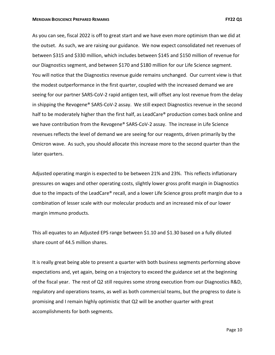As you can see, fiscal 2022 is off to great start and we have even more optimism than we did at the outset. As such, we are raising our guidance. We now expect consolidated net revenues of between \$315 and \$330 million, which includes between \$145 and \$150 million of revenue for our Diagnostics segment, and between \$170 and \$180 million for our Life Science segment. You will notice that the Diagnostics revenue guide remains unchanged. Our current view is that the modest outperformance in the first quarter, coupled with the increased demand we are seeing for our partner SARS-CoV-2 rapid antigen test, will offset any lost revenue from the delay in shipping the Revogene® SARS-CoV-2 assay. We still expect Diagnostics revenue in the second half to be moderately higher than the first half, as LeadCare® production comes back online and we have contribution from the Revogene® SARS-CoV-2 assay. The increase in Life Science revenues reflects the level of demand we are seeing for our reagents, driven primarily by the Omicron wave. As such, you should allocate this increase more to the second quarter than the later quarters.

Adjusted operating margin is expected to be between 21% and 23%. This reflects inflationary pressures on wages and other operating costs, slightly lower gross profit margin in Diagnostics due to the impacts of the LeadCare® recall, and a lower Life Science gross profit margin due to a combination of lesser scale with our molecular products and an increased mix of our lower margin immuno products.

This all equates to an Adjusted EPS range between \$1.10 and \$1.30 based on a fully diluted share count of 44.5 million shares.

It is really great being able to present a quarter with both business segments performing above expectations and, yet again, being on a trajectory to exceed the guidance set at the beginning of the fiscal year. The rest of Q2 still requires some strong execution from our Diagnostics R&D, regulatory and operations teams, as well as both commercial teams, but the progress to date is promising and I remain highly optimistic that Q2 will be another quarter with great accomplishments for both segments.